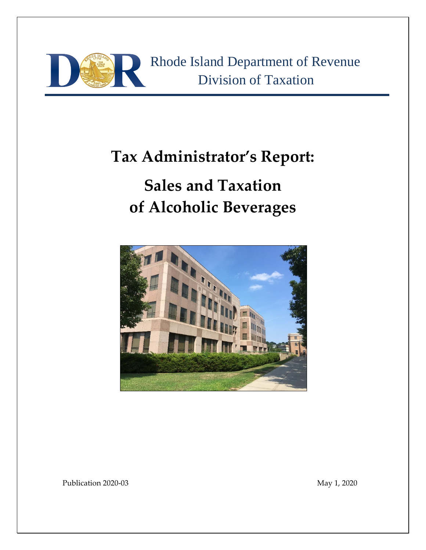

# **Tax Administrator's Report:**

# **Sales and Taxation of Alcoholic Beverages**



Publication 2020-03 May 1, 2020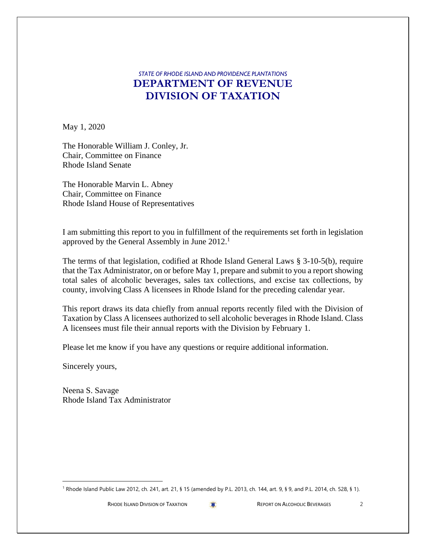### *STATE OF RHODE ISLAND AND PROVIDENCE PLANTATIONS* **DEPARTMENT OF REVENUE DIVISION OF TAXATION**

May 1, 2020

The Honorable William J. Conley, Jr. Chair, Committee on Finance Rhode Island Senate

The Honorable Marvin L. Abney Chair, Committee on Finance Rhode Island House of Representatives

I am submitting this report to you in fulfillment of the requirements set forth in legislation approved by the General Assembly in June 2012.<sup>1</sup>

The terms of that legislation, codified at Rhode Island General Laws § 3-10-5(b), require that the Tax Administrator, on or before May 1, prepare and submit to you a report showing total sales of alcoholic beverages, sales tax collections, and excise tax collections, by county, involving Class A licensees in Rhode Island for the preceding calendar year.

This report draws its data chiefly from annual reports recently filed with the Division of Taxation by Class A licensees authorized to sell alcoholic beverages in Rhode Island. Class A licensees must file their annual reports with the Division by February 1.

Please let me know if you have any questions or require additional information.

Sincerely yours,

Neena S. Savage Rhode Island Tax Administrator

<sup>1</sup> Rhode Island Public Law 2012, ch. 241, art. 21, § 15 (amended by P.L. 2013, ch. 144, art. 9, § 9, and P.L. 2014, ch. 528, § 1).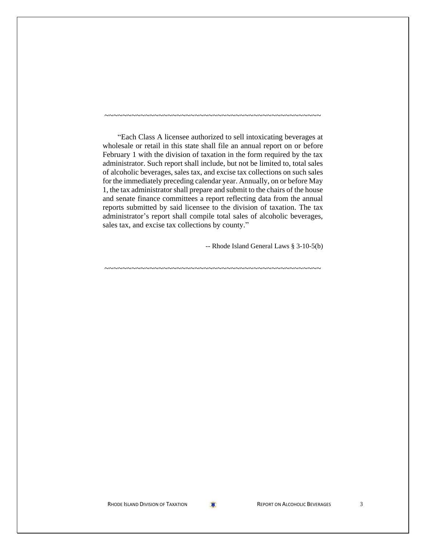"Each Class A licensee authorized to sell intoxicating beverages at wholesale or retail in this state shall file an annual report on or before February 1 with the division of taxation in the form required by the tax administrator. Such report shall include, but not be limited to, total sales of alcoholic beverages, sales tax, and excise tax collections on such sales for the immediately preceding calendar year. Annually, on or before May 1, the tax administrator shall prepare and submit to the chairs of the house and senate finance committees a report reflecting data from the annual reports submitted by said licensee to the division of taxation. The tax administrator's report shall compile total sales of alcoholic beverages, sales tax, and excise tax collections by county."

~~~~~~~~~~~~~~~~~~~~~~~~~~~~~~~~~~~~~~~~~~~~~~~~

~~~~~~~~~~~~~~~~~~~~~~~~~~~~~~~~~~~~~~~~~~~~~~~~

-- Rhode Island General Laws § 3-10-5(b)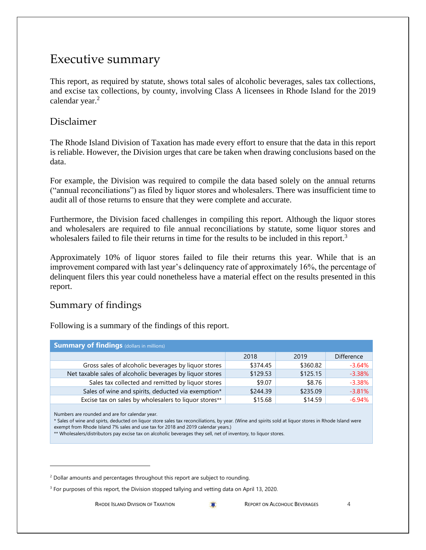### Executive summary

This report, as required by statute, shows total sales of alcoholic beverages, sales tax collections, and excise tax collections, by county, involving Class A licensees in Rhode Island for the 2019 calendar year.<sup>2</sup>

### Disclaimer

The Rhode Island Division of Taxation has made every effort to ensure that the data in this report is reliable. However, the Division urges that care be taken when drawing conclusions based on the data.

For example, the Division was required to compile the data based solely on the annual returns ("annual reconciliations") as filed by liquor stores and wholesalers. There was insufficient time to audit all of those returns to ensure that they were complete and accurate.

Furthermore, the Division faced challenges in compiling this report. Although the liquor stores and wholesalers are required to file annual reconciliations by statute, some liquor stores and wholesalers failed to file their returns in time for the results to be included in this report.<sup>3</sup>

Approximately 10% of liquor stores failed to file their returns this year. While that is an improvement compared with last year's delinquency rate of approximately 16%, the percentage of delinquent filers this year could nonetheless have a material effect on the results presented in this report.

### Summary of findings

Following is a summary of the findings of this report.

| <b>Summary of findings</b> (dollars in millions)          |          |          |                   |
|-----------------------------------------------------------|----------|----------|-------------------|
|                                                           | 2018     | 2019     | <b>Difference</b> |
| Gross sales of alcoholic beverages by liquor stores       | \$374.45 | \$360.82 | $-3.64\%$         |
| Net taxable sales of alcoholic beverages by liquor stores | \$129.53 | \$125.15 | $-3.38%$          |
| Sales tax collected and remitted by liquor stores         | \$9.07   | \$8.76   | $-3.38%$          |
| Sales of wine and spirits, deducted via exemption*        | \$244.39 | \$235.09 | $-3.81%$          |
| Excise tax on sales by wholesalers to liquor stores**     | \$15.68  | \$14.59  | $-6.94%$          |

Numbers are rounded and are for calendar year.

\* Sales of wine and spirts, deducted on liquor store sales tax reconciliations, by year. (Wine and spirits sold at liquor stores in Rhode Island were exempt from Rhode Island 7% sales and use tax for 2018 and 2019 calendar years.)

\*\* Wholesalers/distributors pay excise tax on alcoholic beverages they sell, net of inventory, to liquor stores.

 $2$  Dollar amounts and percentages throughout this report are subject to rounding.

<sup>&</sup>lt;sup>3</sup> For purposes of this report, the Division stopped tallying and vetting data on April 13, 2020.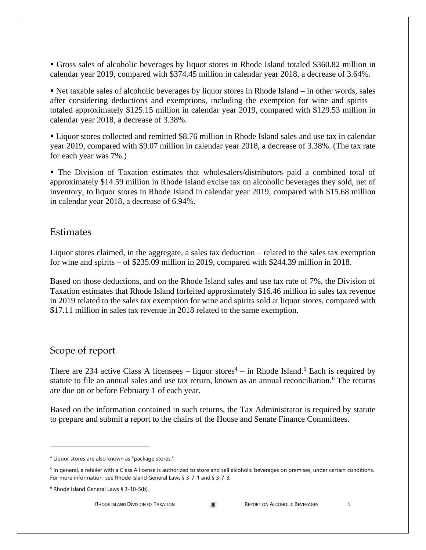▪ Gross sales of alcoholic beverages by liquor stores in Rhode Island totaled \$360.82 million in calendar year 2019, compared with \$374.45 million in calendar year 2018, a decrease of 3.64%.

▪ Net taxable sales of alcoholic beverages by liquor stores in Rhode Island – in other words, sales after considering deductions and exemptions, including the exemption for wine and spirits – totaled approximately \$125.15 million in calendar year 2019, compared with \$129.53 million in calendar year 2018, a decrease of 3.38%.

■ Liquor stores collected and remitted \$8.76 million in Rhode Island sales and use tax in calendar year 2019, compared with \$9.07 million in calendar year 2018, a decrease of 3.38%. (The tax rate for each year was 7%.)

▪ The Division of Taxation estimates that wholesalers/distributors paid a combined total of approximately \$14.59 million in Rhode Island excise tax on alcoholic beverages they sold, net of inventory, to liquor stores in Rhode Island in calendar year 2019, compared with \$15.68 million in calendar year 2018, a decrease of 6.94%.

#### **Estimates**

Liquor stores claimed, in the aggregate, a sales tax deduction – related to the sales tax exemption for wine and spirits – of \$235.09 million in 2019, compared with \$244.39 million in 2018.

Based on those deductions, and on the Rhode Island sales and use tax rate of 7%, the Division of Taxation estimates that Rhode Island forfeited approximately \$16.46 million in sales tax revenue in 2019 related to the sales tax exemption for wine and spirits sold at liquor stores, compared with \$17.11 million in sales tax revenue in 2018 related to the same exemption.

### Scope of report

There are 234 active Class A licensees – liquor stores<sup>4</sup> – in Rhode Island.<sup>5</sup> Each is required by statute to file an annual sales and use tax return, known as an annual reconciliation.<sup>6</sup> The returns are due on or before February 1 of each year.

Based on the information contained in such returns, the Tax Administrator is required by statute to prepare and submit a report to the chairs of the House and Senate Finance Committees.

<sup>4</sup> Liquor stores are also known as "package stores."

<sup>&</sup>lt;sup>5</sup> In general, a retailer with a Class A license is authorized to store and sell alcoholic beverages on premises, under certain conditions. For more information, see Rhode Island General Laws § 3-7-1 and § 3-7-3.

<sup>6</sup> Rhode Island General Laws § 3-10-5(b).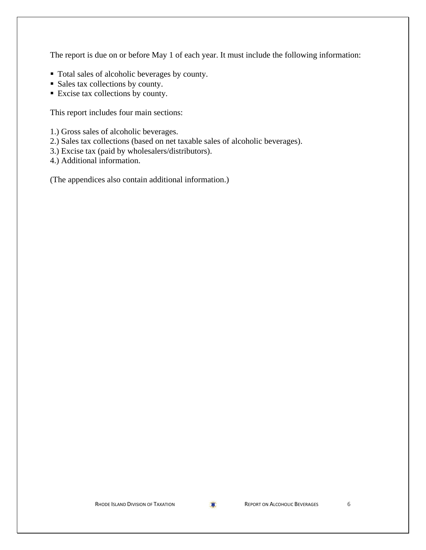The report is due on or before May 1 of each year. It must include the following information:

- Total sales of alcoholic beverages by county.
- Sales tax collections by county.
- Excise tax collections by county.

This report includes four main sections:

1.) Gross sales of alcoholic beverages.

- 2.) Sales tax collections (based on net taxable sales of alcoholic beverages).
- 3.) Excise tax (paid by wholesalers/distributors).

4.) Additional information.

(The appendices also contain additional information.)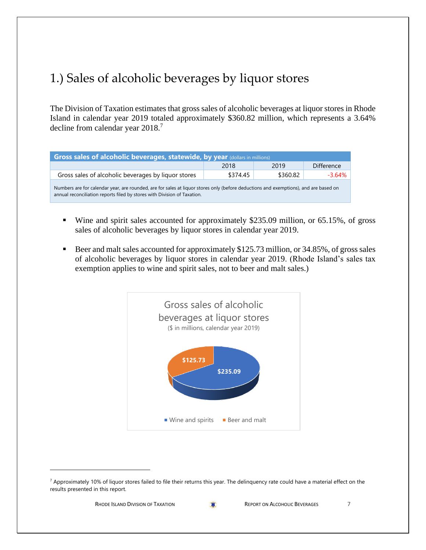# 1.) Sales of alcoholic beverages by liquor stores

The Division of Taxation estimates that gross sales of alcoholic beverages at liquor stores in Rhode Island in calendar year 2019 totaled approximately \$360.82 million, which represents a 3.64% decline from calendar year 2018. 7

| Gross sales of alcoholic beverages, statewide, by year (dollars in millions)                                                                                                                                     |          |          |                   |  |  |
|------------------------------------------------------------------------------------------------------------------------------------------------------------------------------------------------------------------|----------|----------|-------------------|--|--|
|                                                                                                                                                                                                                  | 2018     | 2019     | <b>Difference</b> |  |  |
| Gross sales of alcoholic beverages by liquor stores                                                                                                                                                              | \$374.45 | \$360.82 | $-3.64\%$         |  |  |
| Numbers are for calendar year, are rounded, are for sales at liquor stores only (before deductions and exemptions), and are based on<br>annual reconciliation reports filed by stores with Division of Taxation. |          |          |                   |  |  |

- Wine and spirit sales accounted for approximately \$235.09 million, or 65.15%, of gross sales of alcoholic beverages by liquor stores in calendar year 2019.
- Beer and malt sales accounted for approximately \$125.73 million, or 34.85%, of gross sales of alcoholic beverages by liquor stores in calendar year 2019. (Rhode Island's sales tax exemption applies to wine and spirit sales, not to beer and malt sales.)



 $7$  Approximately 10% of liquor stores failed to file their returns this year. The delinquency rate could have a material effect on the results presented in this report.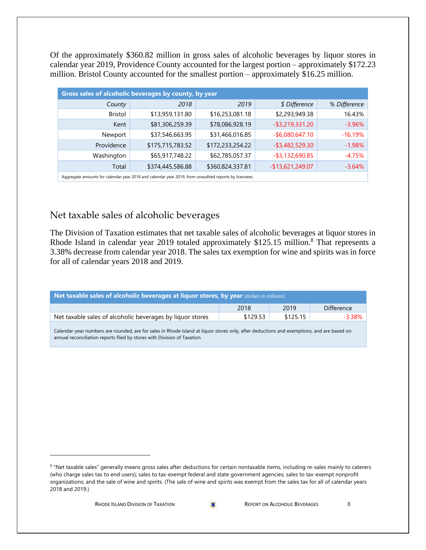Of the approximately \$360.82 million in gross sales of alcoholic beverages by liquor stores in calendar year 2019, Providence County accounted for the largest portion – approximately \$172.23 million. Bristol County accounted for the smallest portion – approximately \$16.25 million.

| Gross sales of alcoholic beverages by county, by year                                                 |                  |                  |                    |              |  |
|-------------------------------------------------------------------------------------------------------|------------------|------------------|--------------------|--------------|--|
| County                                                                                                | 2018             | 2019             | \$ Difference      | % Difference |  |
| <b>Bristol</b>                                                                                        | \$13,959,131.80  | \$16,253,081.18  | \$2,293,949.38     | 16.43%       |  |
| Kent                                                                                                  | \$81,306,259.39  | \$78,086,928.19  | $-$ \$3,219,331.20 | $-3.96%$     |  |
| Newport                                                                                               | \$37,546,663.95  | \$31,466,016.85  | $-$ \$6,080,647.10 | $-16.19%$    |  |
| Providence                                                                                            | \$175,715,783.52 | \$172,233,254.22 | $-$ \$3,482,529.30 | $-1.98%$     |  |
| Washington                                                                                            | \$65,917,748.22  | \$62,785,057.37  | $-$ \$3,132,690.85 | $-4.75%$     |  |
| Total                                                                                                 | \$374,445,586.88 | \$360,824,337.81 | $-$13,621,249.07$  | $-3.64%$     |  |
| Aggregate amounts for calendar year 2018 and calendar year 2019, from unaudited reports by licensees. |                  |                  |                    |              |  |

### Net taxable sales of alcoholic beverages

The Division of Taxation estimates that net taxable sales of alcoholic beverages at liquor stores in Rhode Island in calendar year 2019 totaled approximately \$125.15 million.<sup>8</sup> That represents a 3.38% decrease from calendar year 2018. The sales tax exemption for wine and spirits was in force for all of calendar years 2018 and 2019.

| Net taxable sales of alcoholic beverages at liquor stores, by year (dollars in millions) |          |          |                   |  |
|------------------------------------------------------------------------------------------|----------|----------|-------------------|--|
|                                                                                          | 2018     | 2019     | <b>Difference</b> |  |
| Net taxable sales of alcoholic beverages by liquor stores                                | \$129.53 | \$125.15 | $-3.38%$          |  |
|                                                                                          |          |          |                   |  |

Calendar-year numbers are rounded, are for sales in Rhode Island at liquor stores only, after deductions and exemptions, and are based on annual reconciliation reports filed by stores with Division of Taxation.

<sup>&</sup>lt;sup>8</sup> "Net taxable sales" generally means gross sales after deductions for certain nontaxable items, including re-sales mainly to caterers (who charge sales tax to end users); sales to tax-exempt federal and state government agencies; sales to tax-exempt nonprofit organizations; and the sale of wine and spirits. (The sale of wine and spirits was exempt from the sales tax for all of calendar years 2018 and 2019.)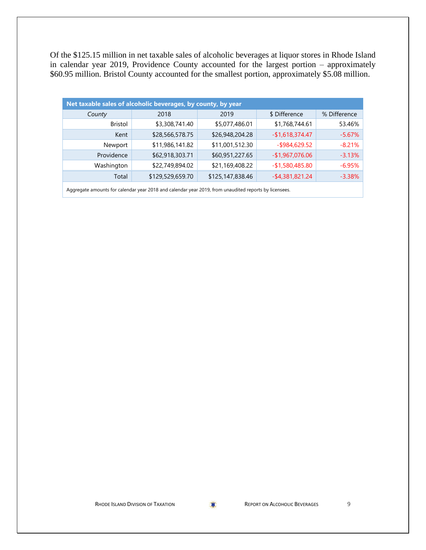Of the \$125.15 million in net taxable sales of alcoholic beverages at liquor stores in Rhode Island in calendar year 2019, Providence County accounted for the largest portion – approximately \$60.95 million. Bristol County accounted for the smallest portion, approximately \$5.08 million.

| Net taxable sales of alcoholic beverages, by county, by year |                  |                  |                    |              |  |
|--------------------------------------------------------------|------------------|------------------|--------------------|--------------|--|
| County                                                       | 2018             | 2019             | \$ Difference      | % Difference |  |
| <b>Bristol</b>                                               | \$3,308,741.40   | \$5,077,486.01   | \$1,768,744.61     | 53.46%       |  |
| Kent                                                         | \$28,566,578.75  | \$26,948,204.28  | $-$1,618,374.47$   | $-5.67%$     |  |
| Newport                                                      | \$11,986,141.82  | \$11,001,512.30  | $-$ \$984,629.52   | $-8.21%$     |  |
| Providence                                                   | \$62,918,303.71  | \$60,951,227.65  | $-$1,967,076.06$   | $-3.13%$     |  |
| Washington                                                   | \$22,749,894.02  | \$21,169,408.22  | $-$1,580,485.80$   | $-6.95\%$    |  |
| Total                                                        | \$129,529,659.70 | \$125,147,838.46 | $-$ \$4,381,821.24 | $-3.38%$     |  |
|                                                              |                  |                  |                    |              |  |

Aggregate amounts for calendar year 2018 and calendar year 2019, from unaudited reports by licensees.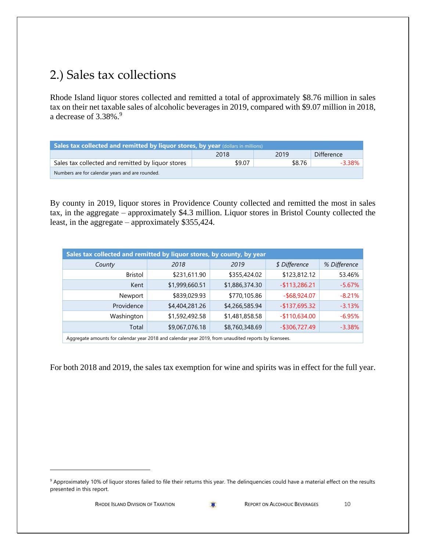# 2.) Sales tax collections

Rhode Island liquor stores collected and remitted a total of approximately \$8.76 million in sales tax on their net taxable sales of alcoholic beverages in 2019, compared with \$9.07 million in 2018, a decrease of  $3.38\%$ .<sup>9</sup>

| Sales tax collected and remitted by liquor stores, by year (dollars in millions) |        |        |                   |  |  |
|----------------------------------------------------------------------------------|--------|--------|-------------------|--|--|
|                                                                                  | 2018   | 2019   | <b>Difference</b> |  |  |
| Sales tax collected and remitted by liquor stores                                | \$9.07 | \$8.76 | -3.38%            |  |  |
| Numbers are for calendar years and are rounded.                                  |        |        |                   |  |  |

By county in 2019, liquor stores in Providence County collected and remitted the most in sales tax, in the aggregate – approximately \$4.3 million. Liquor stores in Bristol County collected the least, in the aggregate – approximately \$355,424.

| Sales tax collected and remitted by liquor stores, by county, by year                                                                                                                                                            |                |                |                  |              |  |
|----------------------------------------------------------------------------------------------------------------------------------------------------------------------------------------------------------------------------------|----------------|----------------|------------------|--------------|--|
| County                                                                                                                                                                                                                           | 2018           | 2019           | \$ Difference    | % Difference |  |
| <b>Bristol</b>                                                                                                                                                                                                                   | \$231,611.90   | \$355,424.02   | \$123,812.12     | 53.46%       |  |
| Kent                                                                                                                                                                                                                             | \$1,999,660.51 | \$1,886,374.30 | $-$113,286.21$   | $-5.67%$     |  |
| Newport                                                                                                                                                                                                                          | \$839,029.93   | \$770,105.86   | $-$ \$68,924.07  | $-8.21%$     |  |
| Providence                                                                                                                                                                                                                       | \$4,404,281.26 | \$4,266,585.94 | $-$137,695.32$   | $-3.13%$     |  |
| Washington                                                                                                                                                                                                                       | \$1,592,492.58 | \$1,481,858.58 | $-$110,634.00$   | $-6.95%$     |  |
| Total                                                                                                                                                                                                                            | \$9,067,076.18 | \$8,760,348.69 | $-$ \$306,727.49 | $-3.38%$     |  |
| $\mathbf{A}$ , and the contract the contract the contract of the contract of the contract of the contract of the contract of the contract of the contract of the contract of the contract of the contract of the contract of the |                |                |                  |              |  |

Aggregate amounts for calendar year 2018 and calendar year 2019, from unaudited reports by licensees.

For both 2018 and 2019, the sales tax exemption for wine and spirits was in effect for the full year.

<sup>&</sup>lt;sup>9</sup> Approximately 10% of liquor stores failed to file their returns this year. The delinquencies could have a material effect on the results presented in this report.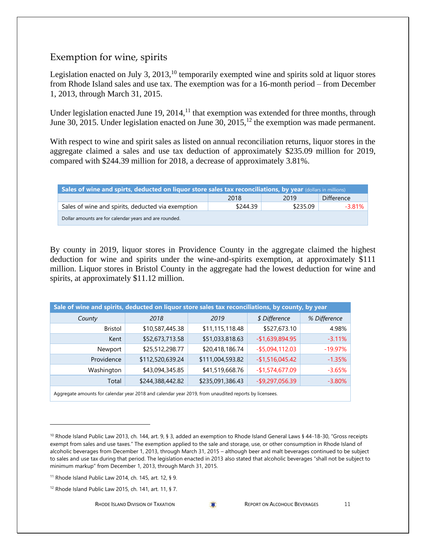#### Exemption for wine, spirits

Legislation enacted on July 3,  $2013$ ,  $^{10}$  temporarily exempted wine and spirits sold at liquor stores from Rhode Island sales and use tax. The exemption was for a 16-month period – from December 1, 2013, through March 31, 2015.

Under legislation enacted June 19,  $2014$ ,  $^{11}$  that exemption was extended for three months, through June 30, 2015. Under legislation enacted on June 30, 2015,  $^{12}$  the exemption was made permanent.

With respect to wine and spirit sales as listed on annual reconciliation returns, liquor stores in the aggregate claimed a sales and use tax deduction of approximately \$235.09 million for 2019, compared with \$244.39 million for 2018, a decrease of approximately 3.81%.

| Sales of wine and spirts, deducted on liquor store sales tax reconciliations, by year (dollars in millions) |          |          |            |  |  |
|-------------------------------------------------------------------------------------------------------------|----------|----------|------------|--|--|
|                                                                                                             | 2018     | 2019     | Difference |  |  |
| Sales of wine and spirits, deducted via exemption                                                           | \$244.39 | \$235.09 | $-3.81\%$  |  |  |
| Dollar amounts are for calendar years and are rounded.                                                      |          |          |            |  |  |

By county in 2019, liquor stores in Providence County in the aggregate claimed the highest deduction for wine and spirits under the wine-and-spirits exemption, at approximately \$111 million. Liquor stores in Bristol County in the aggregate had the lowest deduction for wine and spirits, at approximately \$11.12 million.

| Sale of wine and spirits, deducted on liquor store sales tax reconciliations, by county, by year           |                  |                  |                    |              |  |
|------------------------------------------------------------------------------------------------------------|------------------|------------------|--------------------|--------------|--|
| County                                                                                                     | 2018             | 2019             | \$ Difference      | % Difference |  |
| <b>Bristol</b>                                                                                             | \$10,587,445.38  | \$11,115,118.48  | \$527,673.10       | 4.98%        |  |
| Kent                                                                                                       | \$52,673,713.58  | \$51,033,818.63  | $-$1,639,894.95$   | $-3.11%$     |  |
| Newport                                                                                                    | \$25,512,298.77  | \$20,418,186.74  | $-$ \$5,094,112.03 | $-19.97%$    |  |
| Providence                                                                                                 | \$112,520,639.24 | \$111,004,593.82 | $-$1,516,045.42$   | $-1.35%$     |  |
| Washington                                                                                                 | \$43,094,345.85  | \$41,519,668.76  | $-$1,574,677.09$   | $-3.65%$     |  |
| Total                                                                                                      | \$244,388,442.82 | \$235,091,386.43 | $-$ \$9,297,056.39 | $-3.80%$     |  |
| Agreeate provider to release the calculation of calculation was 2019, from unquising reports by licensess. |                  |                  |                    |              |  |

Aggregate amounts for calendar year 2018 and calendar year 2019, from unaudited reports by licensees.

<sup>11</sup> Rhode Island Public Law 2014, ch. 145, art. 12, § 9.

<sup>12</sup> Rhode Island Public Law 2015, ch. 141, art. 11, § 7.

<sup>&</sup>lt;sup>10</sup> Rhode Island Public Law 2013, ch. 144, art. 9, § 3, added an exemption to Rhode Island General Laws § 44-18-30, "Gross receipts exempt from sales and use taxes." The exemption applied to the sale and storage, use, or other consumption in Rhode Island of alcoholic beverages from December 1, 2013, through March 31, 2015 – although beer and malt beverages continued to be subject to sales and use tax during that period. The legislation enacted in 2013 also stated that alcoholic beverages "shall not be subject to minimum markup" from December 1, 2013, through March 31, 2015.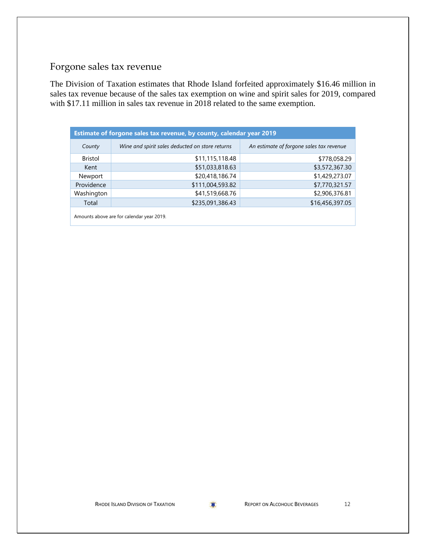## Forgone sales tax revenue

The Division of Taxation estimates that Rhode Island forfeited approximately \$16.46 million in sales tax revenue because of the sales tax exemption on wine and spirit sales for 2019, compared with \$17.11 million in sales tax revenue in 2018 related to the same exemption.

| Estimate of forgone sales tax revenue, by county, calendar year 2019 |                                                 |                                          |  |  |  |
|----------------------------------------------------------------------|-------------------------------------------------|------------------------------------------|--|--|--|
| County                                                               | Wine and spirit sales deducted on store returns | An estimate of forgone sales tax revenue |  |  |  |
| <b>Bristol</b>                                                       | \$11,115,118.48                                 | \$778,058.29                             |  |  |  |
| Kent                                                                 | \$51,033,818.63                                 | \$3,572,367.30                           |  |  |  |
| Newport                                                              | \$20,418,186.74                                 | \$1,429,273.07                           |  |  |  |
| Providence                                                           | \$111,004,593.82                                | \$7,770,321.57                           |  |  |  |
| Washington                                                           | \$41,519,668.76                                 | \$2,906,376.81                           |  |  |  |
| Total                                                                | \$235,091,386.43                                | \$16,456,397.05                          |  |  |  |
| Amounts above are for calendar year 2019.                            |                                                 |                                          |  |  |  |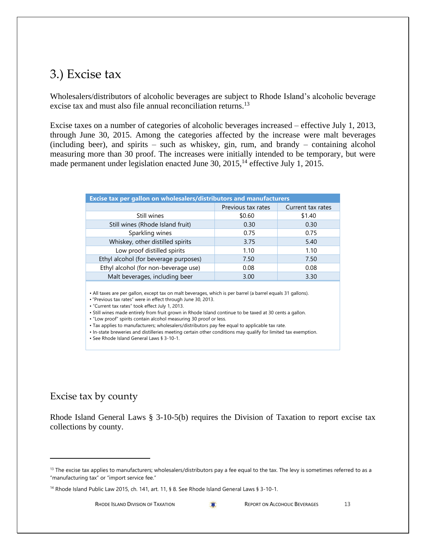### 3.) Excise tax

Wholesalers/distributors of alcoholic beverages are subject to Rhode Island's alcoholic beverage excise tax and must also file annual reconciliation returns.<sup>13</sup>

Excise taxes on a number of categories of alcoholic beverages increased – effective July 1, 2013, through June 30, 2015. Among the categories affected by the increase were malt beverages (including beer), and spirits – such as whiskey, gin, rum, and brandy – containing alcohol measuring more than 30 proof. The increases were initially intended to be temporary, but were made permanent under legislation enacted June 30,  $2015$ ,<sup>14</sup> effective July 1,  $2015$ .

| <b>Excise tax per gallon on wholesalers/distributors and manufacturers</b>                                                                                                                                                     |                    |                   |  |  |  |
|--------------------------------------------------------------------------------------------------------------------------------------------------------------------------------------------------------------------------------|--------------------|-------------------|--|--|--|
|                                                                                                                                                                                                                                | Previous tax rates | Current tax rates |  |  |  |
| Still wines                                                                                                                                                                                                                    | \$0.60             | \$1.40            |  |  |  |
| Still wines (Rhode Island fruit)                                                                                                                                                                                               | 0.30               | 0.30              |  |  |  |
| Sparkling wines                                                                                                                                                                                                                | 0.75               | 0.75              |  |  |  |
| Whiskey, other distilled spirits                                                                                                                                                                                               | 3.75               | 5.40              |  |  |  |
| Low proof distilled spirits                                                                                                                                                                                                    | 1.10               | 1.10              |  |  |  |
| Ethyl alcohol (for beverage purposes)                                                                                                                                                                                          | 7.50               | 7.50              |  |  |  |
| Ethyl alcohol (for non-beverage use)                                                                                                                                                                                           | 0.08               | 0.08              |  |  |  |
| Malt beverages, including beer                                                                                                                                                                                                 | 3.00               | 3.30              |  |  |  |
| • All taxes are per gallon, except tax on malt beverages, which is per barrel (a barrel equals 31 gallons).<br>• "Previous tax rates" were in effect through June 30, 2013.<br>• "Current tax rates" took effect July 1, 2013. |                    |                   |  |  |  |

• Still wines made entirely from fruit grown in Rhode Island continue to be taxed at 30 cents a gallon.

• "Low proof" spirits contain alcohol measuring 30 proof or less.

- Tax applies to manufacturers; wholesalers/distributors pay fee equal to applicable tax rate.
- In-state breweries and distilleries meeting certain other conditions may qualify for limited tax exemption.

• See Rhode Island General Laws § 3-10-1.

### Excise tax by county

Rhode Island General Laws § 3-10-5(b) requires the Division of Taxation to report excise tax collections by county.

<sup>&</sup>lt;sup>13</sup> The excise tax applies to manufacturers; wholesalers/distributors pay a fee equal to the tax. The levy is sometimes referred to as a "manufacturing tax" or "import service fee."

<sup>&</sup>lt;sup>14</sup> Rhode Island Public Law 2015, ch. 141, art. 11, § 8. See Rhode Island General Laws § 3-10-1.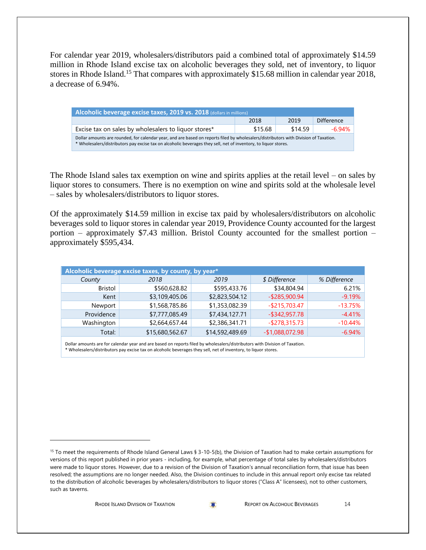For calendar year 2019, wholesalers/distributors paid a combined total of approximately \$14.59 million in Rhode Island excise tax on alcoholic beverages they sold, net of inventory, to liquor stores in Rhode Island.<sup>15</sup> That compares with approximately \$15.68 million in calendar year 2018, a decrease of 6.94%.

| Alcoholic beverage excise taxes, 2019 vs. 2018 (dollars in millions)                                                                                                                                                                                    |         |         |                   |  |  |
|---------------------------------------------------------------------------------------------------------------------------------------------------------------------------------------------------------------------------------------------------------|---------|---------|-------------------|--|--|
|                                                                                                                                                                                                                                                         | 2018    | 2019    | <b>Difference</b> |  |  |
| Excise tax on sales by wholesalers to liquor stores*                                                                                                                                                                                                    | \$15.68 | \$14.59 | $-6.94\%$         |  |  |
| Dollar amounts are rounded, for calendar year, and are based on reports filed by wholesalers/distributors with Division of Taxation.<br>* Wholesalers/distributors pay excise tax on alcoholic beverages they sell, net of inventory, to liquor stores. |         |         |                   |  |  |

The Rhode Island sales tax exemption on wine and spirits applies at the retail level – on sales by liquor stores to consumers. There is no exemption on wine and spirits sold at the wholesale level – sales by wholesalers/distributors to liquor stores.

Of the approximately \$14.59 million in excise tax paid by wholesalers/distributors on alcoholic beverages sold to liquor stores in calendar year 2019, Providence County accounted for the largest portion – approximately \$7.43 million. Bristol County accounted for the smallest portion – approximately \$595,434.

|            | Alcoholic beverage excise taxes, by county, by year* |                 |                  |              |  |  |  |  |  |  |  |  |  |  |
|------------|------------------------------------------------------|-----------------|------------------|--------------|--|--|--|--|--|--|--|--|--|--|
| County     | 2018                                                 | 2019            | \$ Difference    | % Difference |  |  |  |  |  |  |  |  |  |  |
| Bristol    | \$560,628.82                                         | \$595,433.76    | \$34,804.94      | 6.21%        |  |  |  |  |  |  |  |  |  |  |
| Kent       | \$3,109,405.06                                       | \$2,823,504.12  | $-$ \$285,900.94 | $-9.19%$     |  |  |  |  |  |  |  |  |  |  |
| Newport    | \$1,568,785.86                                       | \$1,353,082.39  | $-$ \$215,703.47 | $-13.75%$    |  |  |  |  |  |  |  |  |  |  |
| Providence | \$7,777,085.49                                       | \$7,434,127.71  | $-$ \$342,957.78 | $-4.41%$     |  |  |  |  |  |  |  |  |  |  |
| Washington | \$2,664,657.44                                       | \$2,386,341.71  | $-$ \$278,315.73 | $-10.44%$    |  |  |  |  |  |  |  |  |  |  |
| Total:     | \$15,680,562.67                                      | \$14,592,489.69 | $-$1,088,072.98$ | $-6.94\%$    |  |  |  |  |  |  |  |  |  |  |
|            |                                                      |                 |                  |              |  |  |  |  |  |  |  |  |  |  |

Dollar amounts are for calendar year and are based on reports filed by wholesalers/distributors with Division of Taxation. \* Wholesalers/distributors pay excise tax on alcoholic beverages they sell, net of inventory, to liquor stores.

<sup>&</sup>lt;sup>15</sup> To meet the requirements of Rhode Island General Laws § 3-10-5(b), the Division of Taxation had to make certain assumptions for versions of this report published in prior years - including, for example, what percentage of total sales by wholesalers/distributors were made to liquor stores. However, due to a revision of the Division of Taxation's annual reconciliation form, that issue has been resolved; the assumptions are no longer needed. Also, the Division continues to include in this annual report only excise tax related to the distribution of alcoholic beverages by wholesalers/distributors to liquor stores ("Class A" licensees), not to other customers, such as taverns.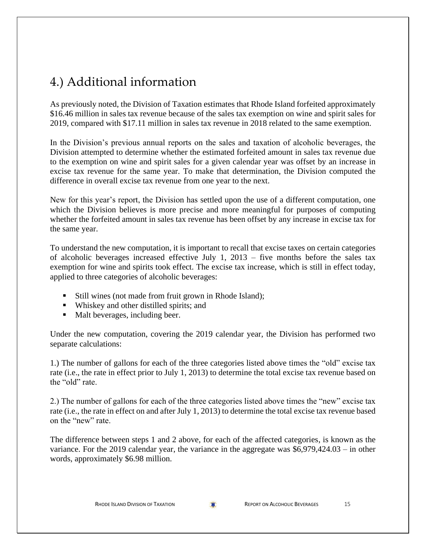# 4.) Additional information

As previously noted, the Division of Taxation estimates that Rhode Island forfeited approximately \$16.46 million in sales tax revenue because of the sales tax exemption on wine and spirit sales for 2019, compared with \$17.11 million in sales tax revenue in 2018 related to the same exemption.

In the Division's previous annual reports on the sales and taxation of alcoholic beverages, the Division attempted to determine whether the estimated forfeited amount in sales tax revenue due to the exemption on wine and spirit sales for a given calendar year was offset by an increase in excise tax revenue for the same year. To make that determination, the Division computed the difference in overall excise tax revenue from one year to the next.

New for this year's report, the Division has settled upon the use of a different computation, one which the Division believes is more precise and more meaningful for purposes of computing whether the forfeited amount in sales tax revenue has been offset by any increase in excise tax for the same year.

To understand the new computation, it is important to recall that excise taxes on certain categories of alcoholic beverages increased effective July 1, 2013 – five months before the sales tax exemption for wine and spirits took effect. The excise tax increase, which is still in effect today, applied to three categories of alcoholic beverages:

- Still wines (not made from fruit grown in Rhode Island);
- Whiskey and other distilled spirits; and
- Malt beverages, including beer.

Under the new computation, covering the 2019 calendar year, the Division has performed two separate calculations:

1.) The number of gallons for each of the three categories listed above times the "old" excise tax rate (i.e., the rate in effect prior to July 1, 2013) to determine the total excise tax revenue based on the "old" rate.

2.) The number of gallons for each of the three categories listed above times the "new" excise tax rate (i.e., the rate in effect on and after July 1, 2013) to determine the total excise tax revenue based on the "new" rate.

The difference between steps 1 and 2 above, for each of the affected categories, is known as the variance. For the 2019 calendar year, the variance in the aggregate was \$6,979,424.03 – in other words, approximately \$6.98 million.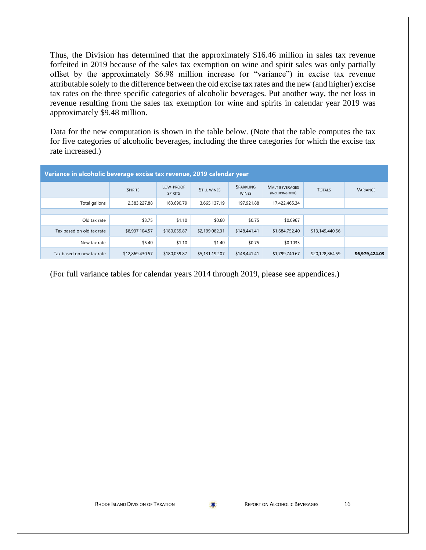Thus, the Division has determined that the approximately \$16.46 million in sales tax revenue forfeited in 2019 because of the sales tax exemption on wine and spirit sales was only partially offset by the approximately \$6.98 million increase (or "variance") in excise tax revenue attributable solely to the difference between the old excise tax rates and the new (and higher) excise tax rates on the three specific categories of alcoholic beverages. Put another way, the net loss in revenue resulting from the sales tax exemption for wine and spirits in calendar year 2019 was approximately \$9.48 million.

Data for the new computation is shown in the table below. (Note that the table computes the tax for five categories of alcoholic beverages, including the three categories for which the excise tax rate increased.)

| Variance in alcoholic beverage excise tax revenue, 2019 calendar year |                 |                             |                    |                           |                                           |                 |                 |  |  |  |  |  |
|-----------------------------------------------------------------------|-----------------|-----------------------------|--------------------|---------------------------|-------------------------------------------|-----------------|-----------------|--|--|--|--|--|
|                                                                       | <b>SPIRITS</b>  | LOW-PROOF<br><b>SPIRITS</b> | <b>STILL WINES</b> | SPARKLING<br><b>WINES</b> | <b>MALT BEVERAGES</b><br>(INCLUDING BEER) | <b>TOTALS</b>   | <b>VARIANCE</b> |  |  |  |  |  |
| Total gallons                                                         | 2,383,227.88    | 163,690.79                  | 3,665,137.19       | 197,921.88                | 17,422,465.34                             |                 |                 |  |  |  |  |  |
|                                                                       |                 |                             |                    |                           |                                           |                 |                 |  |  |  |  |  |
| Old tax rate                                                          | \$3.75          | \$1.10                      | \$0.60             | \$0.75                    | \$0.0967                                  |                 |                 |  |  |  |  |  |
| Tax based on old tax rate                                             | \$8,937,104.57  | \$180,059.87                | \$2,199,082.31     | \$148,441.41              | \$1,684,752.40                            | \$13,149,440.56 |                 |  |  |  |  |  |
| New tax rate                                                          | \$5.40          | \$1.10                      | \$1.40             | \$0.75                    | \$0.1033                                  |                 |                 |  |  |  |  |  |
| Tax based on new tax rate                                             | \$12,869,430.57 | \$180,059.87                | \$5,131,192.07     | \$148,441.41              | \$1,799,740.67                            | \$20,128,864.59 | \$6,979,424.03  |  |  |  |  |  |

(For full variance tables for calendar years 2014 through 2019, please see appendices.)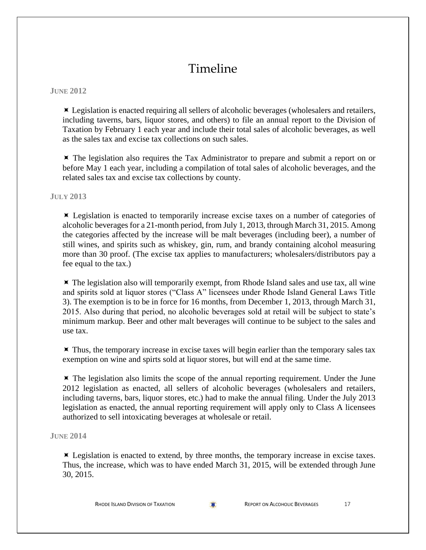## Timeline

#### **JUNE 2012**

 Legislation is enacted requiring all sellers of alcoholic beverages (wholesalers and retailers, including taverns, bars, liquor stores, and others) to file an annual report to the Division of Taxation by February 1 each year and include their total sales of alcoholic beverages, as well as the sales tax and excise tax collections on such sales.

 $\blacktriangleright$  The legislation also requires the Tax Administrator to prepare and submit a report on or before May 1 each year, including a compilation of total sales of alcoholic beverages, and the related sales tax and excise tax collections by county.

**JULY 2013**

 Legislation is enacted to temporarily increase excise taxes on a number of categories of alcoholic beverages for a 21-month period, from July 1, 2013, through March 31, 2015. Among the categories affected by the increase will be malt beverages (including beer), a number of still wines, and spirits such as whiskey, gin, rum, and brandy containing alcohol measuring more than 30 proof. (The excise tax applies to manufacturers; wholesalers/distributors pay a fee equal to the tax.)

 $\blacktriangleright$  The legislation also will temporarily exempt, from Rhode Island sales and use tax, all wine and spirits sold at liquor stores ("Class A" licensees under Rhode Island General Laws Title 3). The exemption is to be in force for 16 months, from December 1, 2013, through March 31, 2015. Also during that period, no alcoholic beverages sold at retail will be subject to state's minimum markup. Beer and other malt beverages will continue to be subject to the sales and use tax.

 $\blacktriangleright$  Thus, the temporary increase in excise taxes will begin earlier than the temporary sales tax exemption on wine and spirts sold at liquor stores, but will end at the same time.

 $\blacktriangleright$  The legislation also limits the scope of the annual reporting requirement. Under the June 2012 legislation as enacted, all sellers of alcoholic beverages (wholesalers and retailers, including taverns, bars, liquor stores, etc.) had to make the annual filing. Under the July 2013 legislation as enacted, the annual reporting requirement will apply only to Class A licensees authorized to sell intoxicating beverages at wholesale or retail.

**JUNE 2014**

 $\blacktriangleright$  Legislation is enacted to extend, by three months, the temporary increase in excise taxes. Thus, the increase, which was to have ended March 31, 2015, will be extended through June 30, 2015.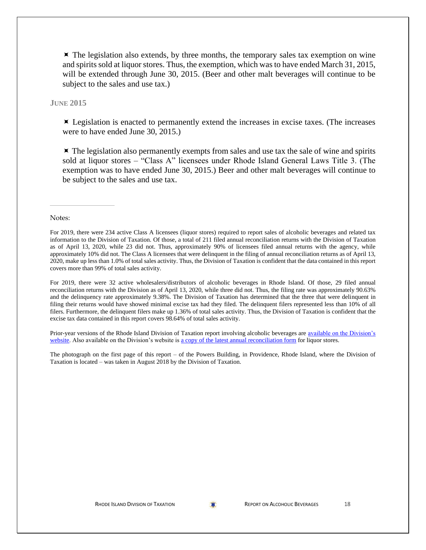$\blacktriangleright$  The legislation also extends, by three months, the temporary sales tax exemption on wine and spirits sold at liquor stores. Thus, the exemption, which was to have ended March 31, 2015, will be extended through June 30, 2015. (Beer and other malt beverages will continue to be subject to the sales and use tax.)

#### **JUNE 2015**

 $\times$  Legislation is enacted to permanently extend the increases in excise taxes. (The increases were to have ended June 30, 2015.)

 $\blacktriangleright$  The legislation also permanently exempts from sales and use tax the sale of wine and spirits sold at liquor stores – "Class A" licensees under Rhode Island General Laws Title 3. (The exemption was to have ended June 30, 2015.) Beer and other malt beverages will continue to be subject to the sales and use tax.

Notes:

For 2019, there were 234 active Class A licensees (liquor stores) required to report sales of alcoholic beverages and related tax information to the Division of Taxation. Of those, a total of 211 filed annual reconciliation returns with the Division of Taxation as of April 13, 2020, while 23 did not. Thus, approximately 90% of licensees filed annual returns with the agency, while approximately 10% did not. The Class A licensees that were delinquent in the filing of annual reconciliation returns as of April 13, 2020, make up less than 1.0% of total sales activity. Thus, the Division of Taxation is confident that the data contained in this report covers more than 99% of total sales activity.

For 2019, there were 32 active wholesalers/distributors of alcoholic beverages in Rhode Island. Of those, 29 filed annual reconciliation returns with the Division as of April 13, 2020, while three did not. Thus, the filing rate was approximately 90.63% and the delinquency rate approximately 9.38%. The Division of Taxation has determined that the three that were delinquent in filing their returns would have showed minimal excise tax had they filed. The delinquent filers represented less than 10% of all filers. Furthermore, the delinquent filers make up 1.36% of total sales activity. Thus, the Division of Taxation is confident that the excise tax data contained in this report covers 98.64% of total sales activity.

Prior-year versions of the Rhode Island Division of Taxation report involving alcoholic beverages are available on the Division's [website.](http://www.tax.ri.gov/reports/index.php) Also available on the Division's website is [a copy of the latest annual reconciliation form](http://www.tax.ri.gov/taxforms/sales_excise/sales_use.php) for liquor stores.

The photograph on the first page of this report – of the Powers Building, in Providence, Rhode Island, where the Division of Taxation is located – was taken in August 2018 by the Division of Taxation.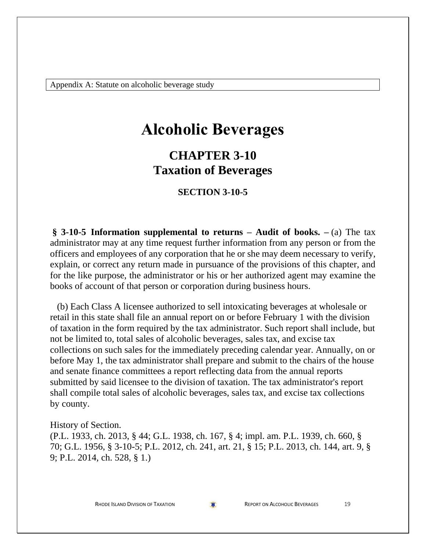Appendix A: Statute on alcoholic beverage study

# **Alcoholic Beverages**

### **CHAPTER 3-10 Taxation of Beverages**

#### **SECTION 3-10-5**

**§ 3-10-5 Information supplemental to returns – Audit of books. –** (a) The tax administrator may at any time request further information from any person or from the officers and employees of any corporation that he or she may deem necessary to verify, explain, or correct any return made in pursuance of the provisions of this chapter, and for the like purpose, the administrator or his or her authorized agent may examine the books of account of that person or corporation during business hours.

 (b) Each Class A licensee authorized to sell intoxicating beverages at wholesale or retail in this state shall file an annual report on or before February 1 with the division of taxation in the form required by the tax administrator. Such report shall include, but not be limited to, total sales of alcoholic beverages, sales tax, and excise tax collections on such sales for the immediately preceding calendar year. Annually, on or before May 1, the tax administrator shall prepare and submit to the chairs of the house and senate finance committees a report reflecting data from the annual reports submitted by said licensee to the division of taxation. The tax administrator's report shall compile total sales of alcoholic beverages, sales tax, and excise tax collections by county.

#### History of Section.

(P.L. 1933, ch. 2013, § 44; G.L. 1938, ch. 167, § 4; impl. am. P.L. 1939, ch. 660, § 70; G.L. 1956, § 3-10-5; P.L. 2012, ch. 241, art. 21, § 15; P.L. 2013, ch. 144, art. 9, § 9; P.L. 2014, ch. 528, § 1.)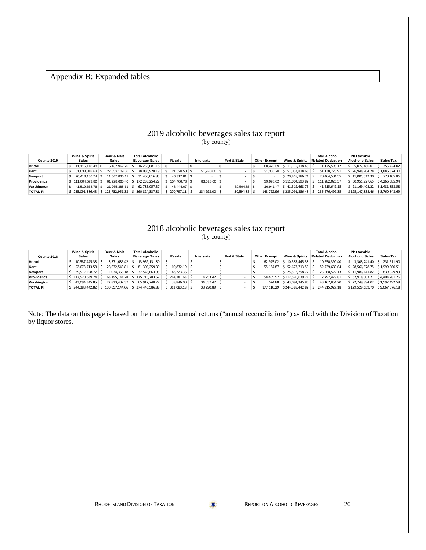#### Appendix B: Expanded tables

#### 2019 alcoholic beverages sales tax report (by county)

|                 | Wine & Spirit       | Beer & Malt       | <b>Total Alcoholic</b> |                      |               |              |              |                     |                                  | <b>Total Alcohol</b>     | Net taxable            |                  |
|-----------------|---------------------|-------------------|------------------------|----------------------|---------------|--------------|--------------|---------------------|----------------------------------|--------------------------|------------------------|------------------|
| County 2019     | <b>Sales</b>        | <b>Sales</b>      | <b>Beverage Sales</b>  | Resale               | Interstate    |              | Fed & State  | <b>Other Exempt</b> | Wine & Spirits                   | <b>Related Deduction</b> | <b>Alcoholic Sales</b> | <b>Sales Tax</b> |
| <b>Bristol</b>  | 11.115.118.48   \$  | 5.137.962.70      | $16.253.081.18$ \\$    |                      |               |              |              | 60.476.69           | $\frac{1}{2}$ 11.115.118.48      | 11, 175, 595. 17         | 5.077.486.01           | 355.424.02       |
| Kent            | 51.033.818.63       | 27.053.109.56     | 78.086.928.19          | 21.628.50 \$         |               | 51,970,00 \$ |              |                     | 31.306.78 \$51.033.818.63        | 51.138.723.91            | 26.948.204.28          | \$1,886,374,30   |
| Newport         | 20.418.186.74 \$    | $11.047.830.11$ S | 31.466.016.85          | 46.317.81 \$         |               |              |              |                     | 120,418,186.74                   | 20.464.504.55            | \$11,001,512,30        | 770.105.86       |
| Providence      | \$111,004,593,82 \$ | 61.228.660.40     | 172.233.254.22         |                      |               | 83.028.00 \$ |              |                     | 39.998.02 \$111.004.593.82       | 111.282.026.57           | 60.951.227.65          | \$4,266,585.94   |
| Washington      | 41.519.668.76 \$    | 21.265.388.61     | 62.785.057.37          | 48,444,07 \$<br>- 55 |               |              | 30.594.85 \$ |                     | 16.941.47   \$41.519.668.76   \$ | 41.615.649.15            | \$21.169.408.22        | \$1,481,858.58   |
| <b>TOTAL RI</b> | \$235.091.386.43    | 125.732.951.38    | 360.824.337.81         | $$270.797.11$ $$$    | 134,998,00 \$ |              | 30.594.85 \$ |                     | 148.722.96 \$235.091.386.43 \$   | 235.676.499.35           | \$125,147,838,46       | \$8,760,348,69   |

#### 2018 alcoholic beverages sales tax report (by county)

|                 | Wine & Spirit        | Beer & Malt                        | <b>Total Alcoholic</b>                         |        |                |            |               |             |  |                     |                                 |                          | <b>Total Alcohol</b> | Net taxable                     |                            |
|-----------------|----------------------|------------------------------------|------------------------------------------------|--------|----------------|------------|---------------|-------------|--|---------------------|---------------------------------|--------------------------|----------------------|---------------------------------|----------------------------|
| County 2018     | Sales                | <b>Sales</b>                       | <b>Beverage Sales</b>                          | Resale |                | Interstate |               | Fed & State |  | <b>Other Exempt</b> | Wine & Spirits                  | <b>Related Deduction</b> |                      | <b>Alcoholic Sales</b>          | <b>Sales Tax</b>           |
| <b>Bristol</b>  | $10.587.445.38$ \$   | 3.371.686.42                       | $13.959.131.80$   $\frac{2}{5}$                |        |                |            |               |             |  | 62.945.02 \$        | 10.587.445.38 \$                |                          | 10.650.390.40        |                                 | 3.308.741.40 \$ 231.611.90 |
| Kent            | $52.673.713.58$ S    | 28.632.545.81 \$                   | 81.306.259.39                                  |        | $10.832.19$ \$ |            |               |             |  | 55.134.87           | $5$ 52.673.713.58 $\frac{1}{5}$ |                          | 52.739.680.64        | \$28.566.578.75 \$1.999.660.51  |                            |
| Newport         | 25.512.298.77 \$     | 12.034.365.18 \$                   | 37.546.663.95                                  |        | 48.223.36 \$   |            |               |             |  |                     | $$25.512.298.77$ \ \$           |                          | 25.560.522.13        | $$11.986.141.82$ \ \$           | 839.029.93                 |
| Providence      | $$112.520.639.24$ \$ |                                    | 63.195.144.28 \$175.715.783.52 \$214.181.63 \$ |        |                |            | $4.253.42$ \$ |             |  |                     | 58.405.52 \$112.520.639.24 \$   |                          | 112,797,479.81       | \$62,918,303,71 \$4,404,281,26  |                            |
| Washington      | 43.094.345.85 \$     | 22.823.402.37 \$                   | 65.917.748.22                                  |        | 38,846,00 \$   |            | 34.037.47 \$  |             |  |                     | 624.88 \$43.094.345.85 \$       |                          | 43.167.854.20        | \$22,749,894.02 \$1,592,492.58  |                            |
| <b>TOTAL RI</b> |                      | 244.388.442.82 \$130.057.144.06 \$ | 374.445.586.88                                 |        | \$312.083.18   |            | 38,290.89 \$  |             |  | 177.110.29          | \$244.388.442.82                |                          | 244.915.927.18       | \$129,529,659.70 \$9,067,076.18 |                            |

Note: The data on this page is based on the unaudited annual returns ("annual reconciliations") as filed with the Division of Taxation by liquor stores.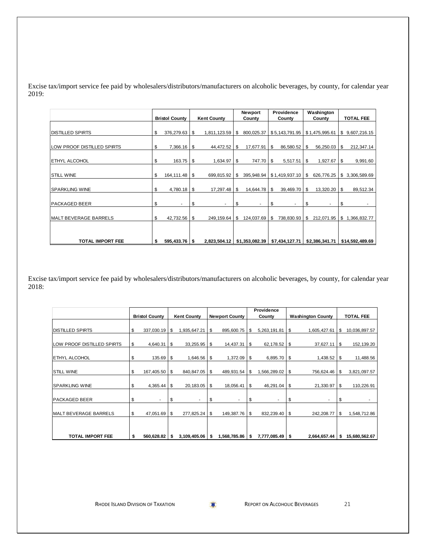Excise tax/import service fee paid by wholesalers/distributors/manufacturers on alcoholic beverages, by county, for calendar year 2019:

|                            |    |                       |     |                    |    | Newport    |     | Providence     |           | Washington     |                    |
|----------------------------|----|-----------------------|-----|--------------------|----|------------|-----|----------------|-----------|----------------|--------------------|
|                            |    | <b>Bristol County</b> |     | <b>Kent County</b> |    | County     |     | County         |           | County         | <b>TOTAL FEE</b>   |
|                            |    |                       |     |                    |    |            |     |                |           |                |                    |
| <b>DISTILLED SPIRTS</b>    | \$ | 376,279.63            | \$  | 1,811,123.59       | \$ | 800,025.37 |     | \$5,143,791.95 |           | \$1,475,995.61 | \$9,607,216.15     |
| LOW PROOF DISTILLED SPIRTS | \$ | 7,366.16              | \$  | 44,472.52          | \$ | 17,677.91  | -\$ | 86,580.52      | \$        | 56,250.03      | \$<br>212,347.14   |
|                            |    |                       |     |                    |    |            |     |                |           |                |                    |
| <b>ETHYL ALCOHOL</b>       | \$ | 163.75                | \$  | 1,634.97           | \$ | 747.70     | -\$ | 5,517.51       | \$        | 1,927.67       | \$<br>9,991.60     |
|                            |    |                       |     |                    |    |            |     |                |           |                |                    |
| <b>STILL WINE</b>          | \$ | 164,111.48            | -\$ | 699,815.92         | -S | 395,948.94 |     | \$1,419,937.10 | <b>\$</b> | 626,776.25     | \$ 3,306,589.69    |
|                            |    |                       |     |                    |    |            |     |                |           |                |                    |
| <b>SPARKLING WINE</b>      | \$ | 4,780.18              | \$  | 17,297.48          | \$ | 14,644.78  | \$  | 39,469.70      | \$        | 13,320.20      | \$<br>89,512.34    |
|                            |    |                       |     |                    |    |            |     |                |           |                |                    |
| <b>PACKAGED BEER</b>       | \$ |                       | \$  | ٠                  | \$ |            | \$  |                | \$        |                | \$                 |
|                            |    |                       |     |                    |    |            |     |                |           |                |                    |
| MALT BEVERAGE BARRELS      | \$ | 42,732.56             | \$  | 249,159.64         | S  | 124,037.69 | -\$ | 738,830.93     | \$        | 212,071.95     | \$<br>1,366,832.77 |
|                            |    |                       |     |                    |    |            |     |                |           |                |                    |
|                            |    |                       |     |                    |    |            |     |                |           |                |                    |
| <b>TOTAL IMPORT FEE</b>    | S  | 595,433.76 \$         |     | 2,823,504.12       |    |            |     |                |           | \$2,386,341.71 | \$14,592,489.69    |

Excise tax/import service fee paid by wholesalers/distributors/manufacturers on alcoholic beverages, by county, for calendar year 2018:

|                              |    |                       |      |                    |      |                       |      | Providence      |      |                          |    |                  |
|------------------------------|----|-----------------------|------|--------------------|------|-----------------------|------|-----------------|------|--------------------------|----|------------------|
|                              |    | <b>Bristol County</b> |      | <b>Kent County</b> |      | <b>Newport County</b> |      | County          |      | <b>Washington County</b> |    | <b>TOTAL FEE</b> |
|                              |    |                       |      |                    |      |                       |      |                 |      |                          |    |                  |
| <b>DISTILLED SPIRTS</b>      | \$ | 337,030.19            | \$   | 1,935,647.21       | \$   | 895,600.75            | \$   | 5,263,191.81    | \$   | 1,605,427.61             | \$ | 10,036,897.57    |
|                              |    |                       |      |                    |      |                       |      |                 |      |                          |    |                  |
| LOW PROOF DISTILLED SPIRTS   | \$ | 4,640.31              | - \$ | 33,255.95          | l \$ | 14,437.31             | \$   | $62,178.52$ \$  |      | $37,627.11$ \ \$         |    | 152,139.20       |
|                              |    |                       |      |                    |      |                       |      |                 |      |                          |    |                  |
| <b>ETHYL ALCOHOL</b>         | \$ | 135.69                | \$   | 1,646.56           | \$   | 1,372.09              | \$   | 6,895.70        | - \$ | 1,438.52                 | S  | 11,488.56        |
|                              |    |                       |      |                    |      |                       |      |                 |      |                          |    |                  |
| <b>STILL WINE</b>            | \$ | 167,405.50            | \$   | 840, 847.05        | \$   | 489,931.54            | \$   | 1,566,289.02    | \$   | 756,624.46               | S  | 3,821,097.57     |
|                              |    |                       |      |                    |      |                       |      |                 |      |                          |    |                  |
| <b>SPARKLING WINE</b>        | \$ | 4,365.44              | \$   | 20,183.05          | \$   | 18,056.41             | \$   | 46,291.04       | \$   | 21,330.97                | S  | 110,226.91       |
|                              |    |                       |      |                    |      |                       |      |                 |      |                          |    |                  |
| <b>PACKAGED BEER</b>         | \$ |                       | S    |                    | \$   |                       | \$   | ۰.              | \$   | ٠                        | S  |                  |
|                              |    |                       |      |                    |      |                       |      |                 |      |                          |    |                  |
| <b>MALT BEVERAGE BARRELS</b> | \$ | 47,051.69             | \$   | 277,825.24         | l \$ | 149,387.76            | -\$  | 832,239.40      | \$   | 242,208.77               | S  | 1,548,712.86     |
|                              |    |                       |      |                    |      |                       |      |                 |      |                          |    |                  |
|                              |    |                       |      |                    |      |                       |      |                 |      |                          |    |                  |
| <b>TOTAL IMPORT FEE</b>      | S  | 560,628.82            | ∣\$. | $3,109,405.06$ \$  |      | 1,568,785.86          | ∣ \$ | 7,777,085.49 \$ |      | 2,664,657.44             | s. | 15,680,562.67    |